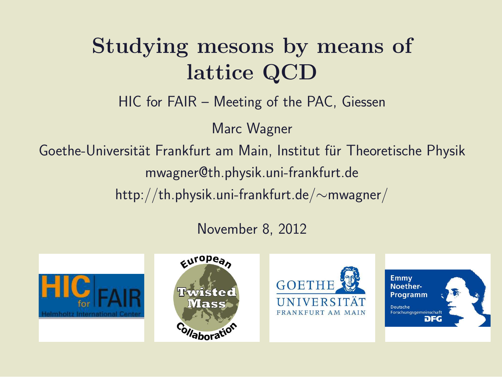### Studying mesons by means of lattice QCD

HIC for FAIR – Meeting of the PAC, Giessen

Marc Wagner

Goethe-Universität Frankfurt am Main, Institut für Theoretische Physik mwagner@th.physik.uni-frankfurt.de

http://th.physik.uni-frankfurt.de/∼mwagner/

November 8, 2012







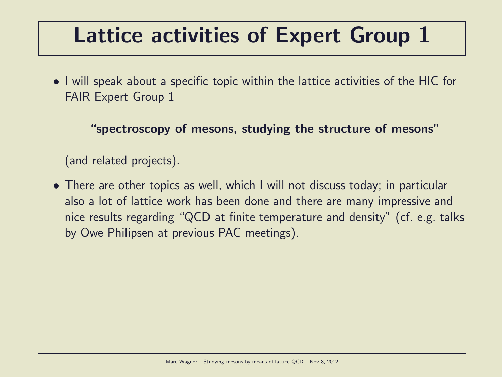### Lattice activities of Expert Group 1

• I will speak about a specific topic within the lattice activities of the HIC for FAIR Expert Group 1

"spectroscopy of mesons, studying the structure of mesons"

(and related projects).

• There are other topics as well, which I will not discuss today; in particular also a lot of lattice work has been done and there are many impressive and nice results regarding "QCD at finite temperature and density" (cf. e.g. talks by Owe Philipsen at previous PAC meetings).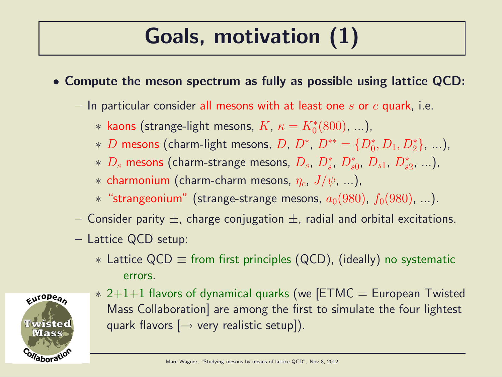# Goals, motivation (1)

- Compute the meson spectrum as fully as possible using lattice QCD:
	- $-$  In particular consider all mesons with at least one s or c quark, i.e.
		- $*$  kaons (strange-light mesons,  $K$ ,  $\kappa = K_0^*(800)$ , ...),
		- \* D mesons (charm-light mesons, D,  $D^*$ ,  $D^{**} = \{D_0^*, D_1, D_2^*\}, ...$ ),
		- $*$   $D_s$  mesons (charm-strange mesons,  $D_s$ ,  $D_s^*$ ,  $D_{s0}^*$ ,  $D_{s1}$ ,  $D_{s2}^*$ , ...),
		- $*$  charmonium (charm-charm mesons,  $\eta_c$ ,  $J/\psi$ , ...),
		- \* "strangeonium" (strange-strange mesons,  $a_0(980)$ ,  $f_0(980)$ , ...).
	- Consider parity  $\pm$ , charge conjugation  $\pm$ , radial and orbital excitations.
	- Lattice QCD setup:
		- $*$  Lattice QCD  $\equiv$  from first principles (QCD), (ideally) no systematic errors.



 $* 2+1+1$  flavors of dynamical quarks (we [ETMC = European Twisted Mass Collaboration] are among the first to simulate the four lightest quark flavors  $[\rightarrow$  very realistic setup]).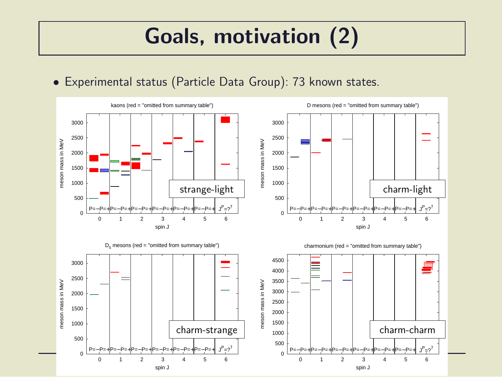## Goals, motivation (2)

#### • Experimental status (Particle Data Group): 73 known states.

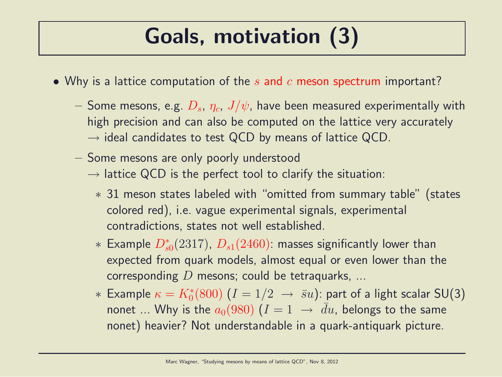## Goals, motivation (3)

- Why is a lattice computation of the  $s$  and  $c$  meson spectrum important?
	- $-$  Some mesons, e.g.  $D_s$ ,  $\eta_c$ ,  $J/\psi$ , have been measured experimentally with high precision and can also be computed on the lattice very accurately  $\rightarrow$  ideal candidates to test QCD by means of lattice QCD.
	- Some mesons are only poorly understood
		- $\rightarrow$  lattice QCD is the perfect tool to clarify the situation:
			- ∗ 31 meson states labeled with "omitted from summary table" (states colored red), i.e. vague experimental signals, experimental contradictions, states not well established.
			- $*$  Example  $D_{s0}^{\ast}(2317)$ ,  $D_{s1}(2460)$ : masses significantly lower than expected from quark models, almost equal or even lower than the corresponding  $D$  mesons; could be tetraquarks, ...
			- $*$  Example  $\kappa=K_{0}^{*}(800)$   $(I=1/2$   $\;\rightarrow$   $\bar{s}u)$ : part of a light scalar SU(3) nonet ... Why is the  $a_0(980)$   $(I = 1 \rightarrow \bar{d}u$ , belongs to the same nonet) heavier? Not understandable in a quark-antiquark picture.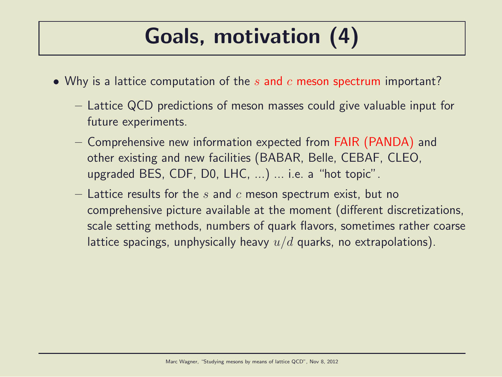## Goals, motivation (4)

- Why is a lattice computation of the  $s$  and  $c$  meson spectrum important?
	- Lattice QCD predictions of meson masses could give valuable input for future experiments.
	- Comprehensive new information expected from FAIR (PANDA) and other existing and new facilities (BABAR, Belle, CEBAF, CLEO, upgraded BES, CDF, D0, LHC, ...) ... i.e. a "hot topic".
	- Lattice results for the s and c meson spectrum exist, but no comprehensive picture available at the moment (different discretizations, scale setting methods, numbers of quark flavors, sometimes rather coarse lattice spacings, unphysically heavy  $u/d$  quarks, no extrapolations).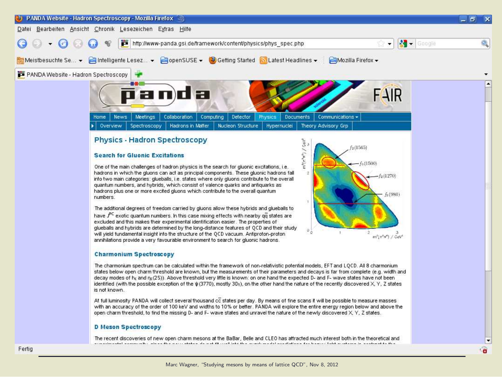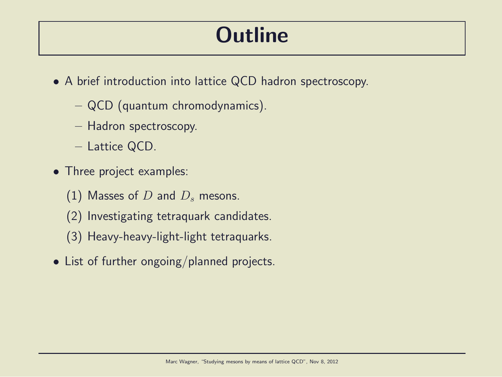### **Outline**

- A brief introduction into lattice QCD hadron spectroscopy.
	- QCD (quantum chromodynamics).
	- Hadron spectroscopy.
	- Lattice QCD.
- Three project examples:
	- (1) Masses of  $D$  and  $D_s$  mesons.
	- (2) Investigating tetraquark candidates.
	- (3) Heavy-heavy-light-light tetraquarks.
- List of further ongoing/planned projects.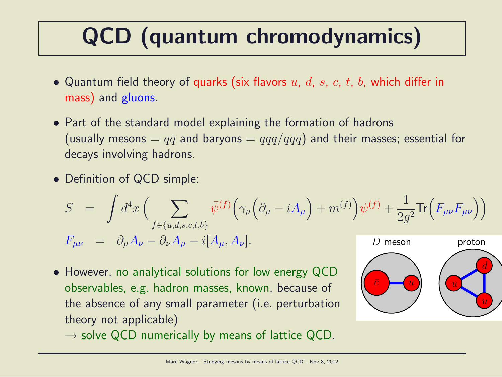# QCD (quantum chromodynamics)

- Quantum field theory of quarks (six flavors  $u, d, s, c, t, b$ , which differ in mass) and gluons.
- Part of the standard model explaining the formation of hadrons (usually mesons =  $q\bar{q}$  and baryons =  $qqq/\bar{q}\bar{q}\bar{q}$ ) and their masses; essential for decays involving hadrons.
- Definition of QCD simple:

$$
S = \int d^4x \left( \sum_{f \in \{u,d,s,c,t,b\}} \bar{\psi}^{(f)} \Big( \gamma_\mu \Big( \partial_\mu - i A_\mu \Big) + m^{(f)} \Big) \psi^{(f)} + \frac{1}{2g^2} \text{Tr} \Big( F_{\mu\nu} F_{\mu\nu} \Big) \right)
$$
  

$$
F_{\mu\nu} = \partial_\mu A_\nu - \partial_\nu A_\mu - i [A_\mu, A_\nu].
$$
  
*D* meson

• However, no analytical solutions for low energy QCD observables, e.g. hadron masses, known, because of the absence of any small parameter (i.e. perturbation theory not applicable)



 $\rightarrow$  solve QCD numerically by means of lattice QCD.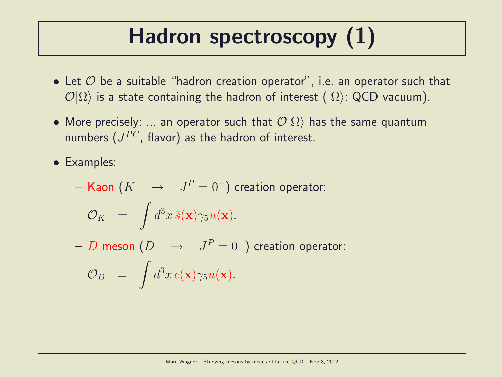# Hadron spectroscopy (1)

- Let  $O$  be a suitable "hadron creation operator", i.e. an operator such that  $\mathcal{O}|\Omega\rangle$  is a state containing the hadron of interest ( $|\Omega\rangle$ : QCD vacuum).
- More precisely: ... an operator such that  $\mathcal{O}|\Omega\rangle$  has the same quantum numbers  $(J^{PC},\,\mathsf{flavor})$  as the hadron of interest.

• Examples:

- **Kaon** 
$$
(K \rightarrow J^P = 0^-)
$$
 creation operator:  

$$
\mathcal{O}_K = \int d^3x \, \bar{s}(\mathbf{x}) \gamma_5 u(\mathbf{x}).
$$

 $-\,\,D$  meson  $(D\quad\rightarrow\quad J^P=0^-)$  creation operator:  $\mathcal{O}_D$  = Z  $d^3x\,\bar{c}(\mathbf{x})\gamma_5u(\mathbf{x}).$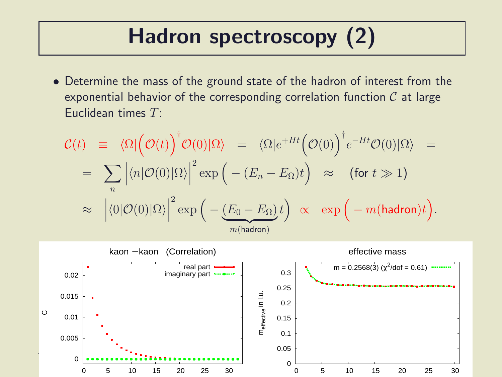### Hadron spectroscopy (2)

• Determine the mass of the ground state of the hadron of interest from the exponential behavior of the corresponding correlation function  $C$  at large Euclidean times  $T$ :

$$
\mathcal{C}(t) = \langle \Omega | \left( \mathcal{O}(t) \right)^{\dagger} \mathcal{O}(0) | \Omega \rangle = \langle \Omega | e^{+Ht} \left( \mathcal{O}(0) \right)^{\dagger} e^{-Ht} \mathcal{O}(0) | \Omega \rangle =
$$
  
\n
$$
= \sum_{n} \left| \langle n | \mathcal{O}(0) | \Omega \rangle \right|^{2} \exp \left( - (E_{n} - E_{\Omega}) t \right) \approx \text{(for } t \gg 1\text{)}
$$
  
\n
$$
\approx \left| \langle 0 | \mathcal{O}(0) | \Omega \rangle \right|^{2} \exp \left( - \underbrace{(E_{0} - E_{\Omega})}_{m \text{(hadron)}} t \right) \propto \exp \left( - m \text{(hadron)} t \right).
$$

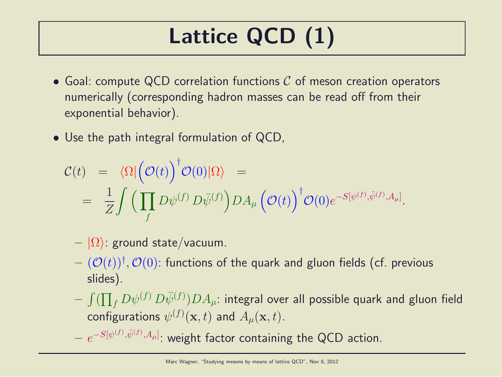# Lattice QCD (1)

- Goal: compute QCD correlation functions  $C$  of meson creation operators numerically (corresponding hadron masses can be read off from their exponential behavior).
- Use the path integral formulation of QCD,

$$
\mathcal{C}(t) = \langle \Omega | \left( \mathcal{O}(t) \right)^{\dagger} \mathcal{O}(0) | \Omega \rangle =
$$
  
= 
$$
\frac{1}{Z} \int \left( \prod_{f} D \psi^{(f)} D \bar{\psi}^{(f)} \right) DA_{\mu} \left( \mathcal{O}(t) \right)^{\dagger} \mathcal{O}(0) e^{-S[\psi^{(f)}, \bar{\psi}^{(f)}, A_{\mu}]}.
$$

- $|\Omega\rangle$ : ground state/vacuum.
- $(\mathcal{O}(t))^\dagger, \mathcal{O}(0)$ : functions of the quark and gluon fields (cf. previous slides).
- $\int (\prod_f D \psi^{(f)} \, D \bar \psi^{(f)} ) D A_\mu$ : integral over all possible quark and gluon field configurations  $\psi^{(f)}(\mathbf{x},t)$  and  $A_{\mu}(\mathbf{x},t).$

 $- \; e^{-S[\psi^{(f)}, \bar \psi^{(f)}, A_\mu]}.$  weight factor containing the QCD action.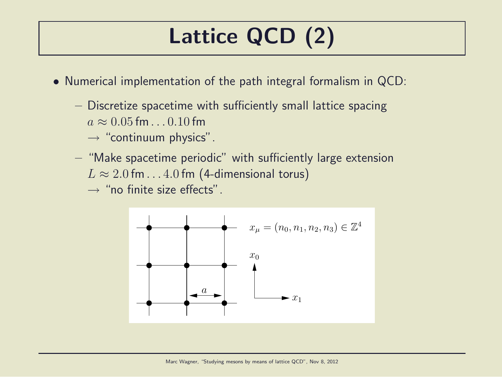# Lattice QCD (2)

- Numerical implementation of the path integral formalism in QCD:
	- Discretize spacetime with sufficiently small lattice spacing  $a \approx 0.05$  fm.  $0.10$  fm
		- $\rightarrow$  "continuum physics".
	- "Make spacetime periodic" with sufficiently large extension  $L \approx 2.0$  fm...4.0 fm (4-dimensional torus)

 $\rightarrow$  "no finite size effects".

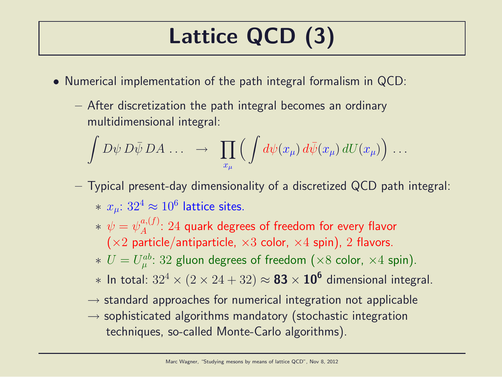# Lattice QCD (3)

- Numerical implementation of the path integral formalism in QCD:
	- After discretization the path integral becomes an ordinary multidimensional integral:

$$
\int D\psi \, D\bar{\psi} \, DA \, \ldots \quad \rightarrow \quad \prod_{x_{\mu}} \Big( \int d\psi(x_{\mu}) \, d\bar{\psi}(x_{\mu}) \, dU(x_{\mu}) \Big) \, \ldots
$$

- Typical present-day dimensionality of a discretized QCD path integral:  $* \; x_{\mu}$ :  $32^4 \approx 10^6$  lattice sites.
	- $*\,\,\psi=\psi_A^{a,(f)}$  $A^{a,(J)}$ :  $24$  quark degrees of freedom for every flavor  $(x2$  particle/antiparticle,  $x3$  color,  $x4$  spin), 2 flavors.
	- $* U = U_{\mu}^{ab}$  $\mathcal{P}_{\mu}^{ab}\colon 32$  gluon degrees of freedom  $(\times 8$  color,  $\times 4$  spin).
	- $*$  In total:  $32^4 \times (2 \times 24 + 32) \approx$   $\bf 83 \times 10^6$  dimensional integral.
	- $\rightarrow$  standard approaches for numerical integration not applicable
	- $\rightarrow$  sophisticated algorithms mandatory (stochastic integration techniques, so-called Monte-Carlo algorithms).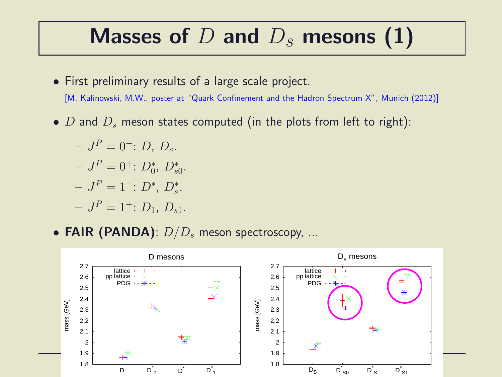#### Masses of  $D$  and  $D_s$  mesons (1)

- First preliminary results of a large scale project. [M. Kalinowski, M.W., poster at "Quark Confinement and the Hadron Spectrum X", Munich (2012)]
- D and  $D_s$  meson states computed (in the plots from left to right):
	- $-J^P=0^-: D, D_s.$  $-J^P=0^{\dagger}$ :  $D_0^*$ ,  $D_{s0}^*$ .  $-J^P=1^-: D^*, D^*_s.$  $-J^P=1^{\dagger}$ :  $D_1, D_{s1}$ .
- FAIR (PANDA):  $D/D_s$  meson spectroscopy, ...

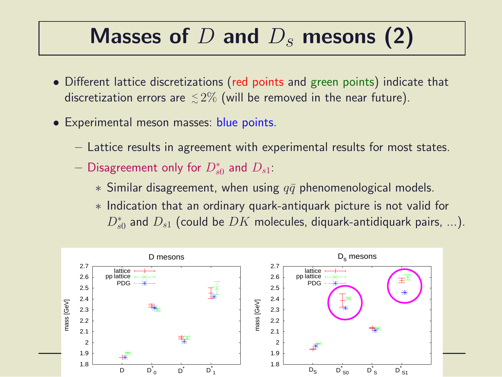### Masses of  $D$  and  $D_s$  mesons (2)

- Different lattice discretizations (red points and green points) indicate that discretization errors are  ${\,\lesssim\,}2\%$  (will be removed in the near future).
- Experimental meson masses: blue points.
	- Lattice results in agreement with experimental results for most states.
	- $-$  Disagreement only for  $D_{s0}^{\ast}$  and  $D_{s1}$ :
		- $*$  Similar disagreement, when using  $q\bar{q}$  phenomenological models.
		- ∗ Indication that an ordinary quark-antiquark picture is not valid for  $D_{s0}^{\ast}$  and  $D_{s1}$  (could be  $DK$  molecules, diquark-antidiquark pairs, ...).

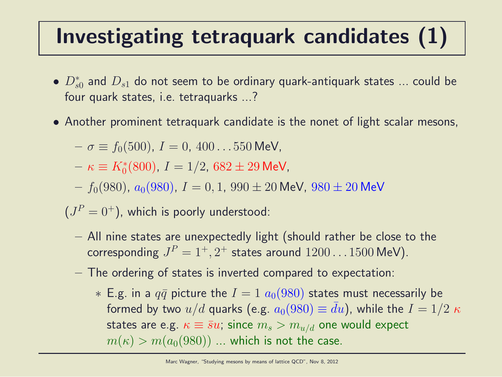### Investigating tetraquark candidates (1)

- $\bullet$   $D_{s0}^*$  and  $D_{s1}$  do not seem to be ordinary quark-antiquark states  $...$  could be four quark states, i.e. tetraquarks ...?
- Another prominent tetraquark candidate is the nonet of light scalar mesons,

$$
- \sigma \equiv f_0(500), I = 0, 400...550 \text{ MeV},
$$

 $- \kappa \equiv K_0^*(800)$ ,  $I = 1/2$ ,  $682 \pm 29$  MeV,

 $f_0(980)$ ,  $a_0(980)$ ,  $I = 0, 1, 990 \pm 20$  MeV,  $980 \pm 20$  MeV

 $(J^P=0^+),$  which is poorly understood:

- All nine states are unexpectedly light (should rather be close to the corresponding  $J^P=1^+,2^+$  states around  $1200\ldots1500$  MeV).
- The ordering of states is inverted compared to expectation:
	- ∗ E.g. in a  $q\bar{q}$  picture the  $I = 1$   $a<sub>0</sub>(980)$  states must necessarily be formed by two  $u/d$  quarks (e.g.  $a_0(980) \equiv du$ ), while the  $I = 1/2 \kappa$ states are e.g.  $\kappa \equiv \bar{s}u$ ; since  $m_s > m_{u/d}$  one would expect  $m(\kappa) > m(a_0(980))$  ... which is not the case.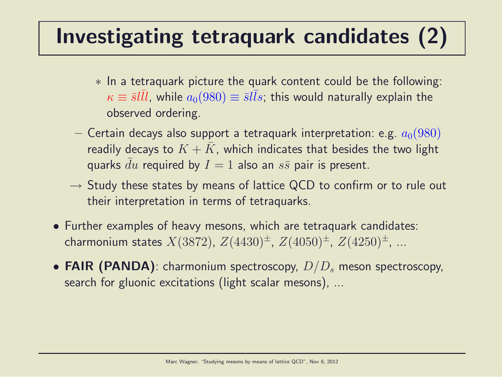### Investigating tetraquark candidates (2)

- ∗ In a tetraquark picture the quark content could be the following:  $\kappa \equiv {\bar s} l \bar l l$ , while  $a_0(980) \equiv {\bar s} l \bar l s$ ; this would naturally explain the observed ordering.
- Certain decays also support a tetraquark interpretation: e.g.  $a_0(980)$ readily decays to  $K + \bar{K}$ , which indicates that besides the two light quarks du required by  $I = 1$  also an  $s\bar{s}$  pair is present.
- $\rightarrow$  Study these states by means of lattice QCD to confirm or to rule out their interpretation in terms of tetraquarks.
- Further examples of heavy mesons, which are tetraquark candidates: charmonium states  $X(3872)$ ,  $Z(4430)^{\pm}$ ,  $Z(4050)^{\pm}$ ,  $Z(4250)^{\pm}$ , ...
- FAIR (PANDA): charmonium spectroscopy,  $D/D_s$  meson spectroscopy, search for gluonic excitations (light scalar mesons), ...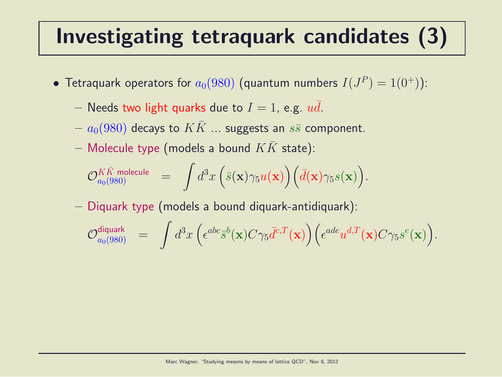### Investigating tetraquark candidates (3)

- $\bullet$  Tetraquark operators for  $a_0(980)$  (quantum numbers  $I(J^P)=1(0^+))$ :
	- Needs two light quarks due to  $I = 1$ , e.g. ud.
	- $a_0(980)$  decays to  $KK$  ... suggests an  $s\bar{s}$  component.
	- Molecule type (models a bound  $KK$  state):

$$
\mathcal{O}_{a_0(980)}^{K\bar{K} \text{ molecule}} \quad = \quad \int d^3x \, \Big( \bar{s}(\mathbf{x}) \gamma_5 u(\mathbf{x}) \Big) \Big( \bar{d}(\mathbf{x}) \gamma_5 s(\mathbf{x}) \Big).
$$

– Diquark type (models a bound diquark-antidiquark):

$$
\mathcal{O}_{a_0(980)}^{\text{diquark}} \hspace{2mm} = \hspace{2mm} \int d^3x \hspace{0.05mm} \Big( \epsilon^{abc} \bar{s}^b(\mathbf{x}) C \gamma_5 \bar{d}^{c,T}(\mathbf{x}) \Big) \Big( \epsilon^{ade} u^{d,T}(\mathbf{x}) C \gamma_5 s^e(\mathbf{x}) \Big).
$$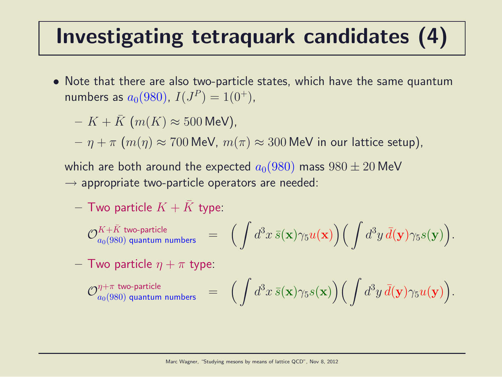### Investigating tetraquark candidates (4)

• Note that there are also two-particle states, which have the same quantum numbers as  $a_0(980)$ ,  $I(J^P) = 1(0^+)$ ,

 $- K + K$  (m(K)  $\approx 500$  MeV),

 $-\eta + \pi$   $(m(\eta) \approx 700$  MeV,  $m(\pi) \approx 300$  MeV in our lattice setup),

which are both around the expected  $a_0(980)$  mass  $980 \pm 20$  MeV  $\rightarrow$  appropriate two-particle operators are needed:

- Two particle 
$$
K + \bar{K}
$$
 type:

$$
\mathcal{O}^{K+\bar{K} \text{ two-particle}}_{a_0(980) \text{ quantum numbers}} \quad = \quad \Big( \int d^3x \, \bar{s}({\bf x}) \gamma_5 u({\bf x}) \Big) \Big( \int d^3y \, \bar{d}({\bf y}) \gamma_5 s({\bf y}) \Big).
$$

- Two particle 
$$
\eta + \pi
$$
 type:

$$
\mathcal{O}_{a_0(980)\;\text{quantum numbers}}^{\eta+\pi\;\text{two-particle}}\quad =\quad \Big(\int d^3x\, \bar s({\bf x})\gamma_5 s({\bf x})\Big) \Big(\int d^3y\, \bar d({\bf y})\gamma_5 u({\bf y})\Big).
$$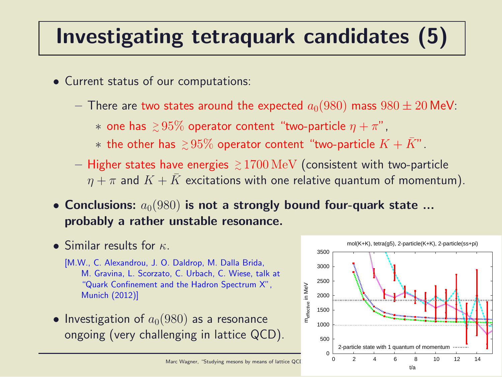### Investigating tetraquark candidates (5)

- Current status of our computations:
	- $-$  There are two states around the expected  $a_0(980)$  mass  $980 \pm 20$  MeV:

 $*$  one has  $\, \gtrsim \! 95\%$  operator content "two-particle  $\eta + \pi$ ",

- $*$  the other has  $~{ }_\sim^>95\%$  operator content "two-particle  $K+\bar K$ " .
- $-$  Higher states have energies  $~{_\sim}~1700\,{\rm MeV}$  (consistent with two-particle  $\eta + \pi$  and  $K + K$  excitations with one relative quantum of momentum).
- Conclusions:  $a_0(980)$  is not a strongly bound four-quark state ... probably a rather unstable resonance.
- Similar results for  $\kappa$ .
	- [M.W., C. Alexandrou, J. O. Daldrop, M. Dalla Brida, M. Gravina, L. Scorzato, C. Urbach, C. Wiese, talk at "Quark Confinement and the Hadron Spectrum X", Munich (2012)]
- Investigation of  $a_0(980)$  as a resonance ongoing (very challenging in lattice QCD).

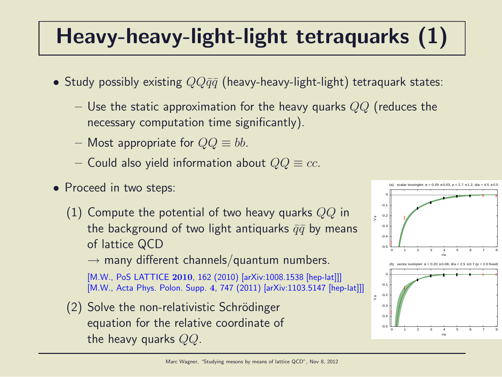# Heavy-heavy-light-light tetraquarks (1)

- Study possibly existing  $QQ\bar{q}\bar{q}$  (heavy-heavy-light-light) tetraquark states:
	- Use the static approximation for the heavy quarks  $QQ$  (reduces the necessary computation time significantly).
	- Most appropriate for  $QQ \equiv bb$ .
	- Could also yield information about  $QQ \equiv cc$ .
- Proceed in two steps:
	- (1) Compute the potential of two heavy quarks  $QQ$  in the background of two light antiquarks  $\bar{q}\bar{q}$  by means of lattice QCD

 $\rightarrow$  many different channels/quantum numbers.

[M.W., PoS LATTICE 2010, 162 (2010) [arXiv:1008.1538 [hep-lat]]] [M.W., Acta Phys. Polon. Supp. 4, 747 (2011) [arXiv:1103.5147 [hep-lat]]]

 $(2)$  Solve the non-relativistic Schrödinger equation for the relative coordinate of the heavy quarks  $QQ$ .

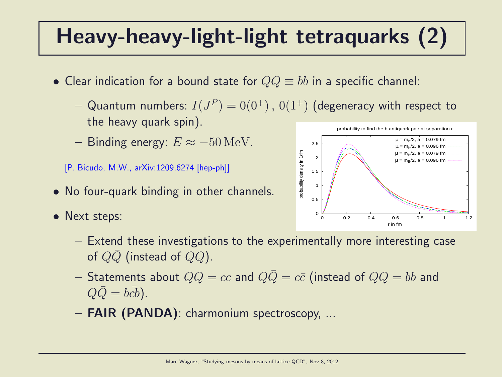## Heavy-heavy-light-light tetraquarks (2)

- Clear indication for a bound state for  $QQ \equiv bb$  in a specific channel:
	- $-$  Quantum numbers:  $I(J^P)=0(0^+) \, , \, 0(1^+)$  (degeneracy with respect to the heavy quark spin).
	- Binding energy:  $E \approx -50$  MeV.

[P. Bicudo, M.W., arXiv:1209.6274 [hep-ph]]

- No four-quark binding in other channels.
- Next steps:



- Extend these investigations to the experimentally more interesting case of  $QQ$  (instead of  $QQ$ ).
- Statements about  $QQ = cc$  and  $Q\overline{Q} = c\overline{c}$  (instead of  $QQ = bb$  and  $Q\overline{Q} = b\overline{c}b$ ).
- FAIR (PANDA): charmonium spectroscopy, ...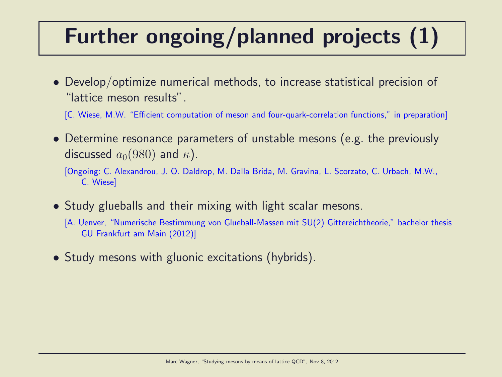# Further ongoing/planned projects (1)

- Develop/optimize numerical methods, to increase statistical precision of "lattice meson results".
	- [C. Wiese, M.W. "Efficient computation of meson and four-quark-correlation functions," in preparation]
- Determine resonance parameters of unstable mesons (e.g. the previously discussed  $a_0(980)$  and  $\kappa$ ).
	- [Ongoing: C. Alexandrou, J. O. Daldrop, M. Dalla Brida, M. Gravina, L. Scorzato, C. Urbach, M.W., C. Wiese]
- Study glueballs and their mixing with light scalar mesons.
	- [A. Uenver, "Numerische Bestimmung von Glueball-Massen mit SU(2) Gittereichtheorie," bachelor thesis GU Frankfurt am Main (2012)]
- Study mesons with gluonic excitations (hybrids).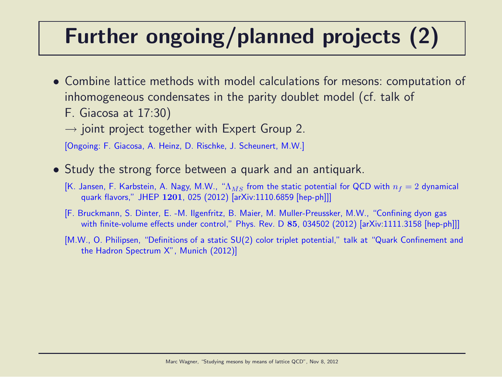# Further ongoing/planned projects (2)

- Combine lattice methods with model calculations for mesons: computation of inhomogeneous condensates in the parity doublet model (cf. talk of
	- F. Giacosa at 17:30)
	- $\rightarrow$  joint project together with Expert Group 2.

[Ongoing: F. Giacosa, A. Heinz, D. Rischke, J. Scheunert, M.W.]

- Study the strong force between a quark and an antiquark.
	- [K. Jansen, F. Karbstein, A. Nagy, M.W., " $\Lambda_{MS}$  from the static potential for QCD with  $n_f = 2$  dynamical quark flavors," JHEP 1201, 025 (2012) [arXiv:1110.6859 [hep-ph]]]
	- [F. Bruckmann, S. Dinter, E. -M. Ilgenfritz, B. Maier, M. Muller-Preussker, M.W., "Confining dyon gas with finite-volume effects under control," Phys. Rev. D 85, 034502 (2012) [arXiv:1111.3158 [hep-ph]]]
	- [M.W., O. Philipsen, "Definitions of a static SU(2) color triplet potential," talk at "Quark Confinement and the Hadron Spectrum X", Munich (2012)]